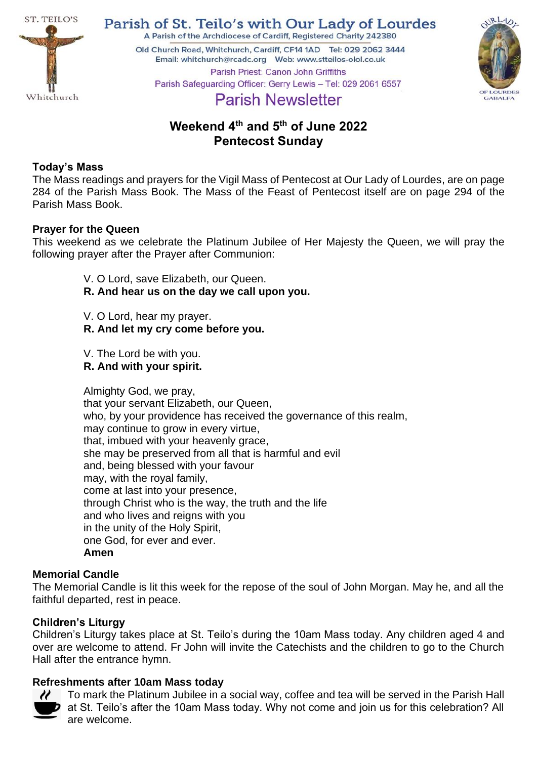

Parish of St. Teilo's with Our Lady of Lourdes A Parish of the Archdiocese of Cardiff, Registered Charity 242380

Old Church Road, Whitchurch, Cardiff, CF14 1AD Tel: 029 2062 3444 Parish Priest: Canon John Griffiths Parish Safeguarding Officer: Gerry Lewis - Tel: 029 2061 6557



# **Parish Newsletter**

# **Weekend 4 th and 5 th of June 2022 Pentecost Sunday**

# **Today's Mass**

The Mass readings and prayers for the Vigil Mass of Pentecost at Our Lady of Lourdes, are on page 284 of the Parish Mass Book. The Mass of the Feast of Pentecost itself are on page 294 of the Parish Mass Book.

## **Prayer for the Queen**

This weekend as we celebrate the Platinum Jubilee of Her Majesty the Queen, we will pray the following prayer after the Prayer after Communion:

- V. O Lord, save Elizabeth, our Queen.
- **R. And hear us on the day we call upon you.**
- V. O Lord, hear my prayer.
- **R. And let my cry come before you.**
- V. The Lord be with you.
- **R. And with your spirit.**

Almighty God, we pray, that your servant Elizabeth, our Queen, who, by your providence has received the governance of this realm, may continue to grow in every virtue, that, imbued with your heavenly grace, she may be preserved from all that is harmful and evil and, being blessed with your favour may, with the royal family, come at last into your presence, through Christ who is the way, the truth and the life and who lives and reigns with you in the unity of the Holy Spirit, one God, for ever and ever. **Amen**

#### **Memorial Candle**

The Memorial Candle is lit this week for the repose of the soul of John Morgan. May he, and all the faithful departed, rest in peace.

# **Children's Liturgy**

Children's Liturgy takes place at St. Teilo's during the 10am Mass today. Any children aged 4 and over are welcome to attend. Fr John will invite the Catechists and the children to go to the Church Hall after the entrance hymn.

# **Refreshments after 10am Mass today**



To mark the Platinum Jubilee in a social way, coffee and tea will be served in the Parish Hall **7** at St. Teilo's after the 10am Mass today. Why not come and join us for this celebration? All are welcome.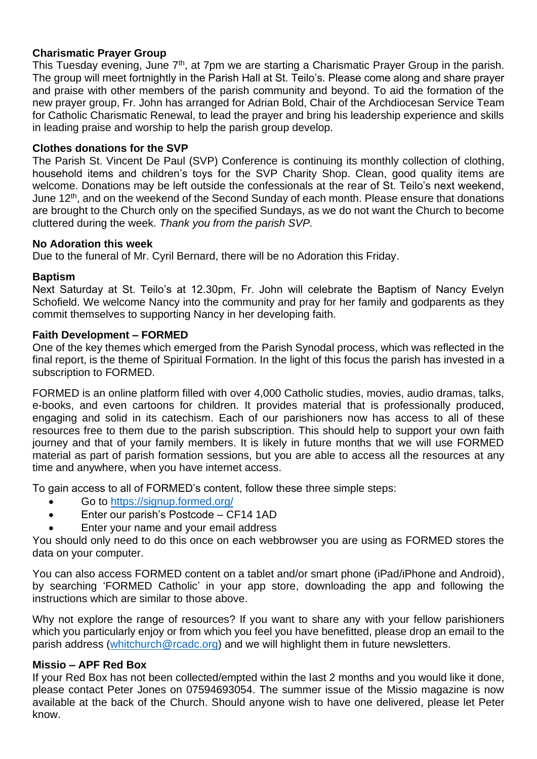# **Charismatic Prayer Group**

This Tuesday evening, June  $7<sup>th</sup>$ , at 7pm we are starting a Charismatic Prayer Group in the parish. The group will meet fortnightly in the Parish Hall at St. Teilo's. Please come along and share prayer and praise with other members of the parish community and beyond. To aid the formation of the new prayer group, Fr. John has arranged for Adrian Bold, Chair of the Archdiocesan Service Team for Catholic Charismatic Renewal, to lead the prayer and bring his leadership experience and skills in leading praise and worship to help the parish group develop.

#### **Clothes donations for the SVP**

The Parish St. Vincent De Paul (SVP) Conference is continuing its monthly collection of clothing, household items and children's toys for the SVP Charity Shop. Clean, good quality items are welcome. Donations may be left outside the confessionals at the rear of St. Teilo's next weekend, June 12<sup>th</sup>, and on the weekend of the Second Sunday of each month. Please ensure that donations are brought to the Church only on the specified Sundays, as we do not want the Church to become cluttered during the week. *Thank you from the parish SVP.*

#### **No Adoration this week**

Due to the funeral of Mr. Cyril Bernard, there will be no Adoration this Friday.

#### **Baptism**

Next Saturday at St. Teilo's at 12.30pm, Fr. John will celebrate the Baptism of Nancy Evelyn Schofield. We welcome Nancy into the community and pray for her family and godparents as they commit themselves to supporting Nancy in her developing faith.

#### **Faith Development – FORMED**

One of the key themes which emerged from the Parish Synodal process, which was reflected in the final report, is the theme of Spiritual Formation. In the light of this focus the parish has invested in a subscription to FORMED.

FORMED is an online platform filled with over 4,000 Catholic studies, movies, audio dramas, talks, e-books, and even cartoons for children. It provides material that is professionally produced, engaging and solid in its catechism. Each of our parishioners now has access to all of these resources free to them due to the parish subscription. This should help to support your own faith journey and that of your family members. It is likely in future months that we will use FORMED material as part of parish formation sessions, but you are able to access all the resources at any time and anywhere, when you have internet access.

To gain access to all of FORMED's content, follow these three simple steps:

- Go to<https://signup.formed.org/>
- Enter our parish's Postcode CF14 1AD
- Enter your name and your email address

You should only need to do this once on each webbrowser you are using as FORMED stores the data on your computer.

You can also access FORMED content on a tablet and/or smart phone (iPad/iPhone and Android), by searching 'FORMED Catholic' in your app store, downloading the app and following the instructions which are similar to those above.

Why not explore the range of resources? If you want to share any with your fellow parishioners which you particularly enjoy or from which you feel you have benefitted, please drop an email to the parish address [\(whitchurch@rcadc.org\)](mailto:whitchurch@rcadc.org) and we will highlight them in future newsletters.

#### **Missio – APF Red Box**

If your Red Box has not been collected/empted within the last 2 months and you would like it done, please contact Peter Jones on 07594693054. The summer issue of the Missio magazine is now available at the back of the Church. Should anyone wish to have one delivered, please let Peter know.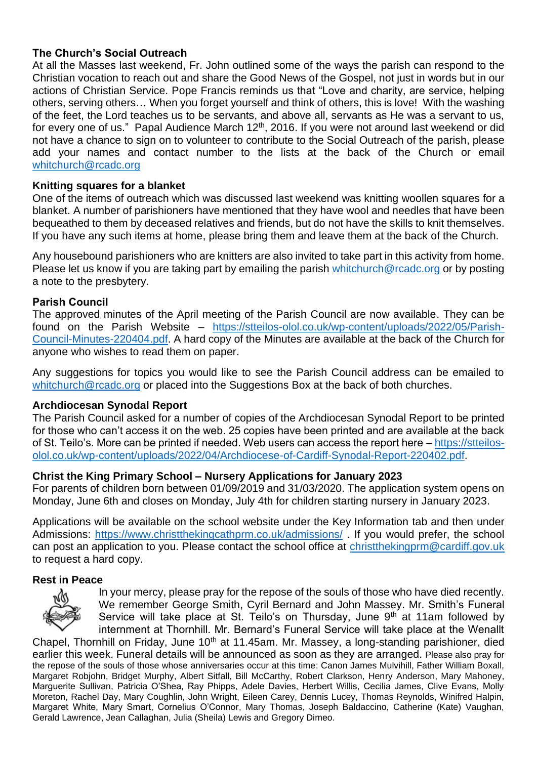# **The Church's Social Outreach**

At all the Masses last weekend, Fr. John outlined some of the ways the parish can respond to the Christian vocation to reach out and share the Good News of the Gospel, not just in words but in our actions of Christian Service. Pope Francis reminds us that "Love and charity, are service, helping others, serving others… When you forget yourself and think of others, this is love! With the washing of the feet, the Lord teaches us to be servants, and above all, servants as He was a servant to us, for every one of us." Papal Audience March 12<sup>th</sup>, 2016. If you were not around last weekend or did not have a chance to sign on to volunteer to contribute to the Social Outreach of the parish, please add your names and contact number to the lists at the back of the Church or email [whitchurch@rcadc.org](mailto:whitchurch@rcadc.org) 

#### **Knitting squares for a blanket**

One of the items of outreach which was discussed last weekend was knitting woollen squares for a blanket. A number of parishioners have mentioned that they have wool and needles that have been bequeathed to them by deceased relatives and friends, but do not have the skills to knit themselves. If you have any such items at home, please bring them and leave them at the back of the Church.

Any housebound parishioners who are knitters are also invited to take part in this activity from home. Please let us know if you are taking part by emailing the parish [whitchurch@rcadc.org](mailto:whitchurch@rcadc.org) or by posting a note to the presbytery.

#### **Parish Council**

The approved minutes of the April meeting of the Parish Council are now available. They can be found on the Parish Website – [https://stteilos-olol.co.uk/wp-content/uploads/2022/05/Parish-](https://stteilos-olol.co.uk/wp-content/uploads/2022/05/Parish-Council-Minutes-220404.pdf)[Council-Minutes-220404.pdf.](https://stteilos-olol.co.uk/wp-content/uploads/2022/05/Parish-Council-Minutes-220404.pdf) A hard copy of the Minutes are available at the back of the Church for anyone who wishes to read them on paper.

Any suggestions for topics you would like to see the Parish Council address can be emailed to [whitchurch@rcadc.org](mailto:whitchurch@rcadc.org) or placed into the Suggestions Box at the back of both churches.

#### **Archdiocesan Synodal Report**

The Parish Council asked for a number of copies of the Archdiocesan Synodal Report to be printed for those who can't access it on the web. 25 copies have been printed and are available at the back of St. Teilo's. More can be printed if needed. Web users can access the report here – [https://stteilos](https://stteilos-olol.co.uk/wp-content/uploads/2022/04/Archdiocese-of-Cardiff-Synodal-Report-220402.pdf)[olol.co.uk/wp-content/uploads/2022/04/Archdiocese-of-Cardiff-Synodal-Report-220402.pdf.](https://stteilos-olol.co.uk/wp-content/uploads/2022/04/Archdiocese-of-Cardiff-Synodal-Report-220402.pdf)

#### **Christ the King Primary School – Nursery Applications for January 2023**

For parents of children born between 01/09/2019 and 31/03/2020. The application system opens on Monday, June 6th and closes on Monday, July 4th for children starting nursery in January 2023.

Applications will be available on the school website under the Key Information tab and then under Admissions:<https://www.christthekingcathprm.co.uk/admissions/> . If you would prefer, the school can post an application to you. Please contact the school office at [christthekingprm@cardiff.gov.uk](mailto:christthekingprm@cardiff.gov.uk) to request a hard copy.

#### **Rest in Peace**



In your mercy, please pray for the repose of the souls of those who have died recently. We remember George Smith, Cyril Bernard and John Massey. Mr. Smith's Funeral Service will take place at St. Teilo's on Thursday, June 9<sup>th</sup> at 11am followed by internment at Thornhill. Mr. Bernard's Funeral Service will take place at the Wenallt

Chapel, Thornhill on Friday, June 10<sup>th</sup> at 11.45am. Mr. Massey, a long-standing parishioner, died earlier this week. Funeral details will be announced as soon as they are arranged. Please also pray for the repose of the souls of those whose anniversaries occur at this time: Canon James Mulvihill, Father William Boxall, Margaret Robjohn, Bridget Murphy, Albert Sitfall, Bill McCarthy, Robert Clarkson, Henry Anderson, Mary Mahoney, Marguerite Sullivan, Patricia O'Shea, Ray Phipps, Adele Davies, Herbert Willis, Cecilia James, Clive Evans, Molly Moreton, Rachel Day, Mary Coughlin, John Wright, Eileen Carey, Dennis Lucey, Thomas Reynolds, Winifred Halpin, Margaret White, Mary Smart, Cornelius O'Connor, Mary Thomas, Joseph Baldaccino, Catherine (Kate) Vaughan, Gerald Lawrence, Jean Callaghan, Julia (Sheila) Lewis and Gregory Dimeo.